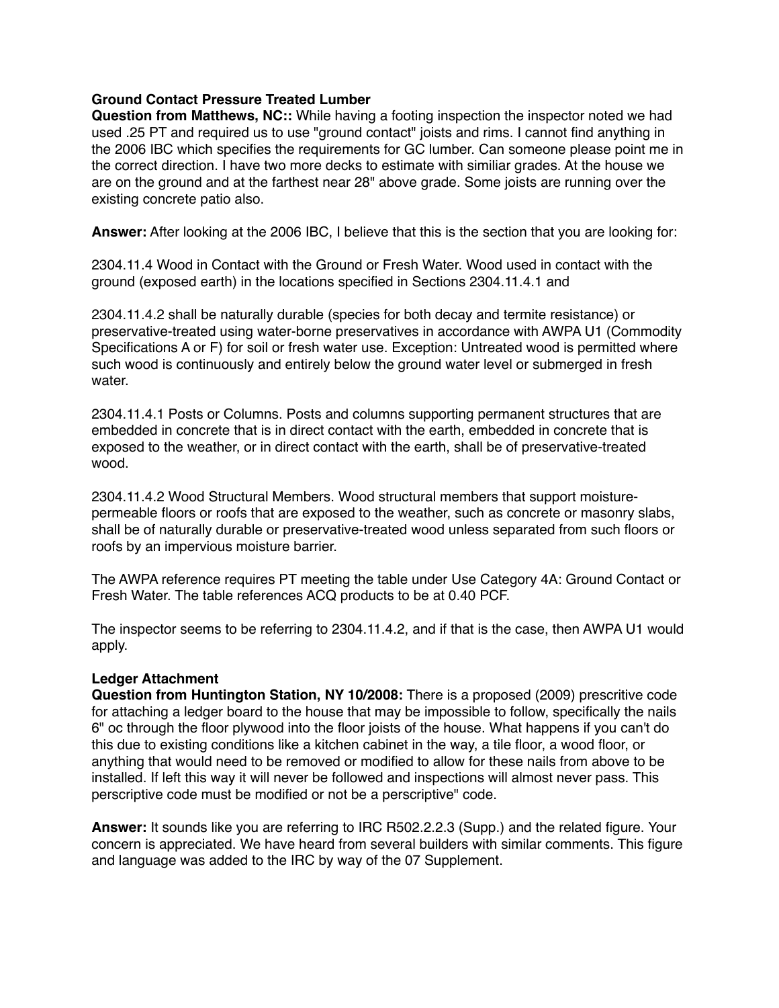## **Ground Contact Pressure Treated Lumber**

**Question from Matthews, NC::** While having a footing inspection the inspector noted we had used .25 PT and required us to use "ground contact" joists and rims. I cannot find anything in the 2006 IBC which specifies the requirements for GC lumber. Can someone please point me in the correct direction. I have two more decks to estimate with similiar grades. At the house we are on the ground and at the farthest near 28" above grade. Some joists are running over the existing concrete patio also.

**Answer:** After looking at the 2006 IBC, I believe that this is the section that you are looking for:

2304.11.4 Wood in Contact with the Ground or Fresh Water. Wood used in contact with the ground (exposed earth) in the locations specified in Sections 2304.11.4.1 and

2304.11.4.2 shall be naturally durable (species for both decay and termite resistance) or preservative-treated using water-borne preservatives in accordance with AWPA U1 (Commodity Specifications A or F) for soil or fresh water use. Exception: Untreated wood is permitted where such wood is continuously and entirely below the ground water level or submerged in fresh water.

2304.11.4.1 Posts or Columns. Posts and columns supporting permanent structures that are embedded in concrete that is in direct contact with the earth, embedded in concrete that is exposed to the weather, or in direct contact with the earth, shall be of preservative-treated wood.

2304.11.4.2 Wood Structural Members. Wood structural members that support moisturepermeable floors or roofs that are exposed to the weather, such as concrete or masonry slabs, shall be of naturally durable or preservative-treated wood unless separated from such floors or roofs by an impervious moisture barrier.

The AWPA reference requires PT meeting the table under Use Category 4A: Ground Contact or Fresh Water. The table references ACQ products to be at 0.40 PCF.

The inspector seems to be referring to 2304.11.4.2, and if that is the case, then AWPA U1 would apply.

## **Ledger Attachment**

**Question from Huntington Station, NY 10/2008:** There is a proposed (2009) prescritive code for attaching a ledger board to the house that may be impossible to follow, specifically the nails 6" oc through the floor plywood into the floor joists of the house. What happens if you can't do this due to existing conditions like a kitchen cabinet in the way, a tile floor, a wood floor, or anything that would need to be removed or modified to allow for these nails from above to be installed. If left this way it will never be followed and inspections will almost never pass. This perscriptive code must be modified or not be a perscriptive" code.

**Answer:** It sounds like you are referring to IRC R502.2.2.3 (Supp.) and the related figure. Your concern is appreciated. We have heard from several builders with similar comments. This figure and language was added to the IRC by way of the 07 Supplement.